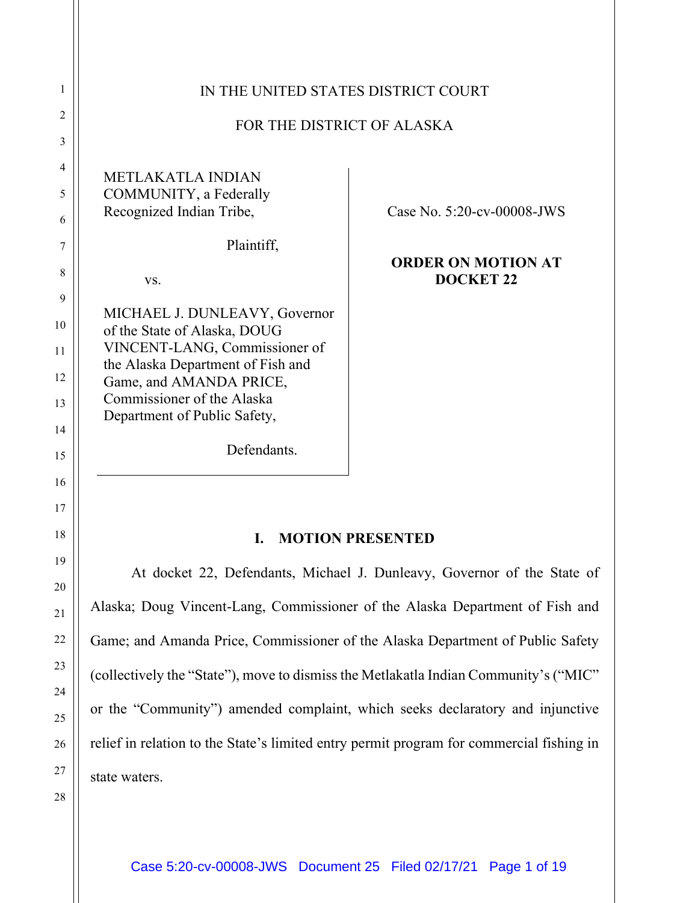| IN THE UNITED STATES DISTRICT COURT<br>FOR THE DISTRICT OF ALASKA                                                                                                                                                            |                                               |
|------------------------------------------------------------------------------------------------------------------------------------------------------------------------------------------------------------------------------|-----------------------------------------------|
| <b>METLAKATLA INDIAN</b><br>COMMUNITY, a Federally<br>Recognized Indian Tribe,                                                                                                                                               | Case No. 5:20-cv-00008-JWS                    |
| Plaintiff,<br>VS.                                                                                                                                                                                                            | <b>ORDER ON MOTION AT</b><br><b>DOCKET 22</b> |
| MICHAEL J. DUNLEAVY, Governor<br>of the State of Alaska, DOUG<br>VINCENT-LANG, Commissioner of<br>the Alaska Department of Fish and<br>Game, and AMANDA PRICE,<br>Commissioner of the Alaska<br>Department of Public Safety, |                                               |
| Defendants.                                                                                                                                                                                                                  |                                               |

## **I. MOTION PRESENTED**

At docket 22, Defendants, Michael J. Dunleavy, Governor of the State of Alaska; Doug Vincent-Lang, Commissioner of the Alaska Department of Fish and Game; and Amanda Price, Commissioner of the Alaska Department of Public Safety (collectively the "State"), move to dismiss the Metlakatla Indian Community's ("MIC" or the "Community") amended complaint, which seeks declaratory and injunctive relief in relation to the State's limited entry permit program for commercial fishing in state waters.

25 26 27

28

1

2

3

4

5

6

7

8

9

10

11

12

13

14

15

16

17

18

19

20

21

22

23

24

Case 5:20-cv-00008-JWS Document 25 Filed 02/17/21 Page 1 of 19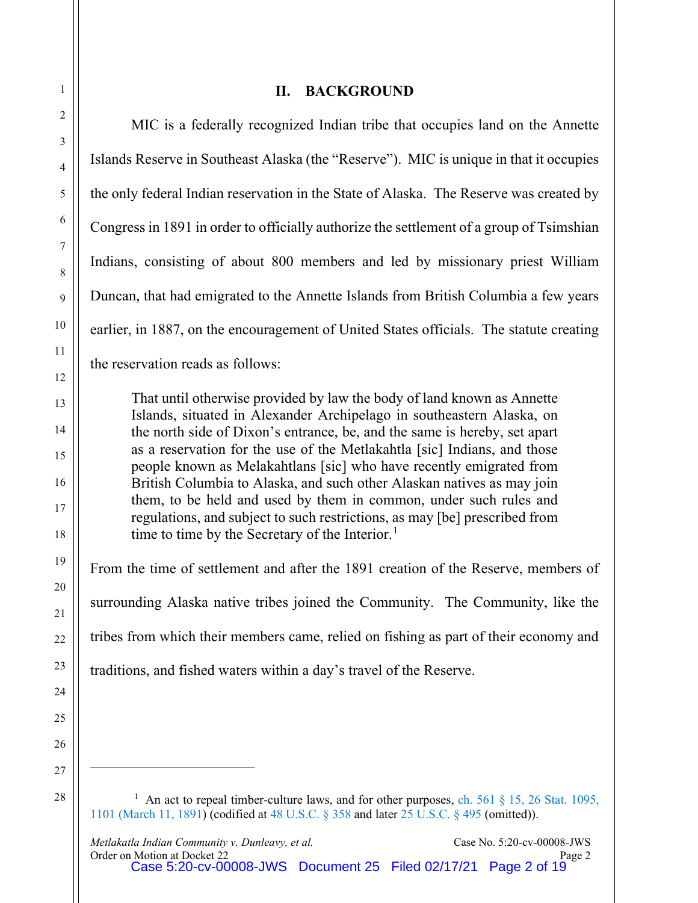## **II. BACKGROUND**

MIC is a federally recognized Indian tribe that occupies land on the Annette Islands Reserve in Southeast Alaska (the "Reserve"). MIC is unique in that it occupies the only federal Indian reservation in the State of Alaska. The Reserve was created by Congress in 1891 in order to officially authorize the settlement of a group of Tsimshian Indians, consisting of about 800 members and led by missionary priest William Duncan, that had emigrated to the Annette Islands from British Columbia a few years earlier, in 1887, on the encouragement of United States officials. The statute creating the reservation reads as follows: That until otherwise provided by law the body of land known as Annette Islands, situated in Alexander Archipelago in southeastern Alaska, on the north side of Dixon's entrance, be, and the same is hereby, set apart as a reservation for the use of the Metlakahtla [sic] Indians, and those people known as Melakahtlans [sic] who have recently emigrated from British Columbia to Alaska, and such other Alaskan natives as may join them, to be held and used by them in common, under such rules and regulations, and subject to such restrictions, as may [be] prescribed from time to time by the Secretary of the Interior.<sup>[1](#page-1-0)</sup> From the time of settlement and after the 1891 creation of the Reserve, members of surrounding Alaska native tribes joined the Community. The Community, like the tribes from which their members came, relied on fishing as part of their economy and traditions, and fished waters within a day's travel of the Reserve.

<span id="page-1-0"></span><sup>1</sup> An act to repeal timber-culture laws, and for other purposes, ch. 561  $\S$  15, 26 Stat. 1095, 1101 [\(March 11, 1891\)](https://1.next.westlaw.com/Link/Document/Blob/Id9d5a141cb7811d8b07300065ba32aee.pdf?targetType=us-statlrg&originationContext=document&transitionType=DocumentImage&uniqueId=50f24da1-6396-45d7-a5d2-429e0bc05aba&contextData=(sc.UserEnteredCitation)) (codified at [48 U.S.C. § 358](https://1.next.westlaw.com/Document/IA023A09F1ABA4F29B1B99CD2A93A414F/View/FullText.html?originationContext=typeAhead&transitionType=Default&contextData=(sc.Default)) and later [25 U.S.C. §](https://1.next.westlaw.com/Document/NEE2A8990370811E6A5E7B8EB9C0C67F4/View/FullText.html?transitionType=UniqueDocItem&contextData=(sc.Search)&userEnteredCitation=25+usc+495) 495 (omitted)).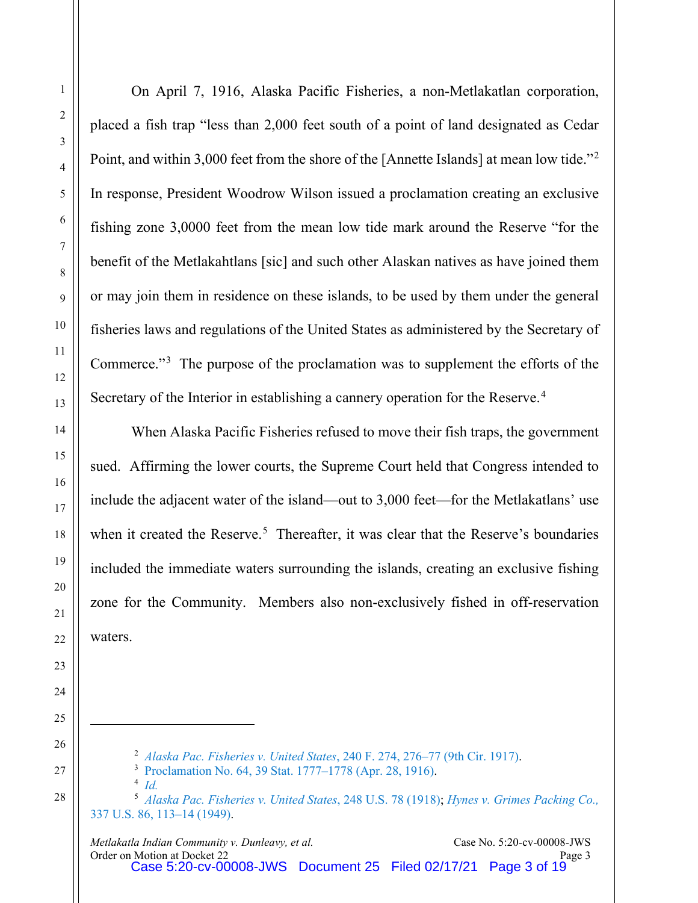On April 7, 1916, Alaska Pacific Fisheries, a non-Metlakatlan corporation, placed a fish trap "less than 2,000 feet south of a point of land designated as Cedar Point, and within 3,000 feet from the shore of the [Annette Islands] at mean low tide."<sup>[2](#page-2-0)</sup> In response, President Woodrow Wilson issued a proclamation creating an exclusive fishing zone 3,0000 feet from the mean low tide mark around the Reserve "for the benefit of the Metlakahtlans [sic] and such other Alaskan natives as have joined them or may join them in residence on these islands, to be used by them under the general fisheries laws and regulations of the United States as administered by the Secretary of Commerce."[3](#page-2-1) The purpose of the proclamation was to supplement the efforts of the Secretary of the Interior in establishing a cannery operation for the Reserve.<sup>[4](#page-2-2)</sup>

When Alaska Pacific Fisheries refused to move their fish traps, the government sued. Affirming the lower courts, the Supreme Court held that Congress intended to include the adjacent water of the island—out to 3,000 feet—for the Metlakatlans' use when it created the Reserve.<sup>[5](#page-2-3)</sup> Thereafter, it was clear that the Reserve's boundaries included the immediate waters surrounding the islands, creating an exclusive fishing zone for the Community. Members also non-exclusively fished in off-reservation waters.

 *[Alaska Pac. Fisheries v. United States](https://www.westlaw.com/Document/I20059e20545611d9bf30d7fdf51b6bd4/View/FullText.html?transitionType=Default&contextData=(sc.Default)&VR=3.0&RS=da3.0&fragmentIdentifier=co_pp_sp_348_276)*, 240 F. 274, 276–77 (9th Cir. 1917).

[Proclamation No. 64, 39 Stat. 1777–1778 \(Apr. 28, 1916\).](https://1.next.westlaw.com/Document/If28f2580f14311d8b8ca00065b696d43/View/FullText.html?transitionType=UniqueDocItem&contextData=(sc.Search)&userEnteredCitation=39+Stat+1777)

*[Id.](https://1.next.westlaw.com/Document/If28f2580f14311d8b8ca00065b696d43/View/FullText.html?transitionType=UniqueDocItem&contextData=(sc.Search)&userEnteredCitation=39+Stat+1777)*

<span id="page-2-3"></span><span id="page-2-2"></span><span id="page-2-1"></span><span id="page-2-0"></span> *[Alaska Pac. Fisheries v. United States](https://www.westlaw.com/Document/If233ea149cc111d9bdd1cfdd544ca3a4/View/FullText.html?transitionType=Default&contextData=(sc.Default)&VR=3.0&RS=da3.0)*, 248 U.S. 78 (1918); *[Hynes v. Grimes Packing Co.,](https://www.westlaw.com/Document/I64fbd2b79c1d11d9bc61beebb95be672/View/FullText.html?transitionType=Default&contextData=(sc.Default)&VR=3.0&RS=da3.0&fragmentIdentifier=co_pp_sp_780_113)* [337 U.S. 86, 113–14 \(1949\).](https://www.westlaw.com/Document/I64fbd2b79c1d11d9bc61beebb95be672/View/FullText.html?transitionType=Default&contextData=(sc.Default)&VR=3.0&RS=da3.0&fragmentIdentifier=co_pp_sp_780_113)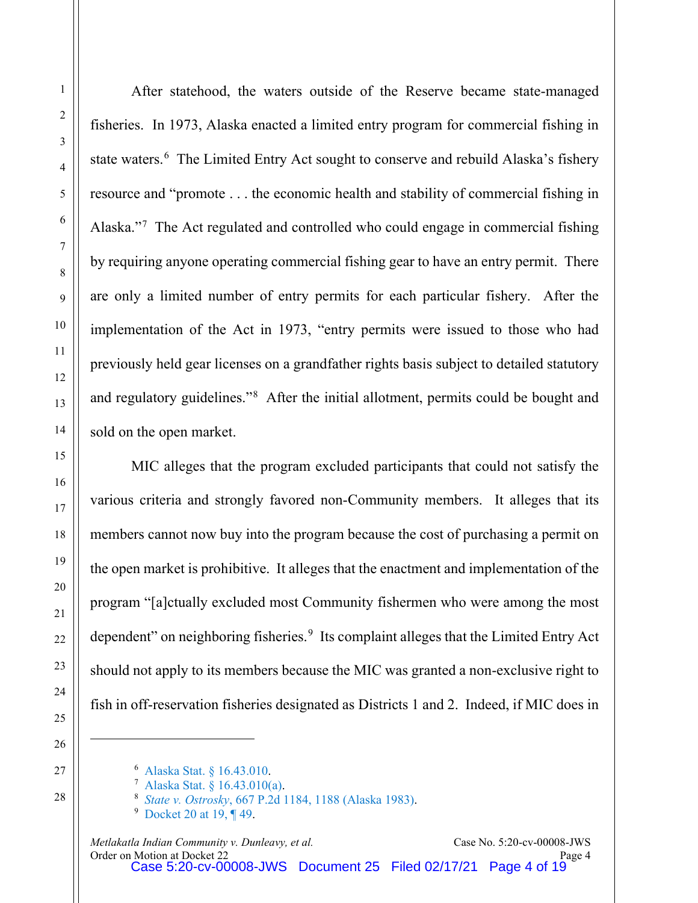After statehood, the waters outside of the Reserve became state-managed fisheries. In 1973, Alaska enacted a limited entry program for commercial fishing in state waters.<sup>[6](#page-3-0)</sup> The Limited Entry Act sought to conserve and rebuild Alaska's fishery resource and "promote . . . the economic health and stability of commercial fishing in Alaska."[7](#page-3-1) The Act regulated and controlled who could engage in commercial fishing by requiring anyone operating commercial fishing gear to have an entry permit. There are only a limited number of entry permits for each particular fishery. After the implementation of the Act in 1973, "entry permits were issued to those who had previously held gear licenses on a grandfather rights basis subject to detailed statutory and regulatory guidelines."<sup>[8](#page-3-2)</sup> After the initial allotment, permits could be bought and sold on the open market.

MIC alleges that the program excluded participants that could not satisfy the various criteria and strongly favored non-Community members. It alleges that its members cannot now buy into the program because the cost of purchasing a permit on the open market is prohibitive. It alleges that the enactment and implementation of the program "[a]ctually excluded most Community fishermen who were among the most dependent" on neighboring fisheries.<sup>[9](#page-3-3)</sup> Its complaint alleges that the Limited Entry Act should not apply to its members because the MIC was granted a non-exclusive right to fish in off-reservation fisheries designated as Districts 1 and 2. Indeed, if MIC does in

<sup>6</sup> [Alaska Stat. §](https://www.westlaw.com/Document/NF458B190F4C811E8A479CD48F360012F/View/FullText.html?transitionType=Default&contextData=(sc.Default)&VR=3.0&RS=da3.0) 16.43.010.

<span id="page-3-2"></span><span id="page-3-1"></span><span id="page-3-0"></span><sup>7</sup> [Alaska Stat. §](https://www.westlaw.com/Document/NF458B190F4C811E8A479CD48F360012F/View/FullText.html?transitionType=Default&contextData=(sc.Default)&VR=3.0&RS=da3.0) 16.43.010(a).

<sup>8</sup> *State v. Ostrosky*, 667 [P.2d 1184, 1188 \(Alaska 1983\).](https://www.westlaw.com/Document/I6478857df39f11d983e7e9deff98dc6f/View/FullText.html?transitionType=Default&contextData=(sc.Default)&VR=3.0&RS=da3.0&fragmentIdentifier=co_pp_sp_661_1188)

<span id="page-3-3"></span><sup>&</sup>lt;sup>9</sup> [Docket 20 at 19, ¶ 49.](https://ecf.akd.circ9.dcn/doc1/02312318696?page=19)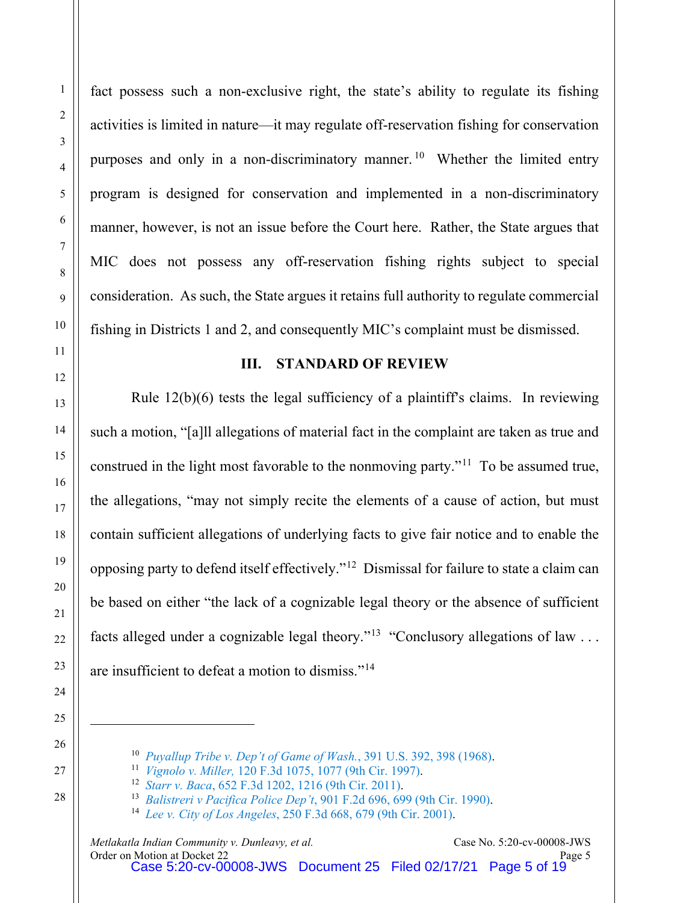fact possess such a non-exclusive right, the state's ability to regulate its fishing activities is limited in nature—it may regulate off-reservation fishing for conservation purposes and only in a non-discriminatory manner.<sup>[10](#page-4-0)</sup> Whether the limited entry program is designed for conservation and implemented in a non-discriminatory manner, however, is not an issue before the Court here. Rather, the State argues that MIC does not possess any off-reservation fishing rights subject to special consideration. As such, the State argues it retains full authority to regulate commercial fishing in Districts 1 and 2, and consequently MIC's complaint must be dismissed.

## **III. STANDARD OF REVIEW**

Rule  $12(b)(6)$  tests the legal sufficiency of a plaintiff's claims. In reviewing such a motion, "[a]ll allegations of material fact in the complaint are taken as true and construed in the light most favorable to the nonmoving party."[11](#page-4-1) To be assumed true, the allegations, "may not simply recite the elements of a cause of action, but must contain sufficient allegations of underlying facts to give fair notice and to enable the opposing party to defend itself effectively."[12](#page-4-2) Dismissal for failure to state a claim can be based on either "the lack of a cognizable legal theory or the absence of sufficient facts alleged under a cognizable legal theory."<sup>[13](#page-4-3)</sup> "Conclusory allegations of law ... are insufficient to defeat a motion to dismiss."[14](#page-4-4)

*[Puyallup Tribe v. Dep't of Game of Wash.](https://www.westlaw.com/Document/I650102d39c1d11d9bc61beebb95be672/View/FullText.html?transitionType=Default&contextData=(sc.Default)&VR=3.0&RS=da3.0&fragmentIdentifier=co_pp_sp_780_398)*, 391 U.S. 392, 398 (1968).

<span id="page-4-1"></span><span id="page-4-0"></span> *Vignolo v. Miller,* [120 F.3d 1075, 1077 \(9th Cir. 1997\).](https://www.westlaw.com/Document/I99d85fb4942711d993e6d35cc61aab4a/View/FullText.html?transitionType=Default&contextData=(sc.Default)&VR=3.0&RS=da3.0&fragmentIdentifier=co_pp_sp_506_1077)

 *Starr v. Baca*[, 652 F.3d 1202, 1216 \(9th Cir. 2011\).](https://www.westlaw.com/Document/I3e2db26ab66111e0bff4854fb99771ed/View/FullText.html?transitionType=Default&contextData=(sc.Default)&VR=3.0&RS=da3.0&fragmentIdentifier=co_pp_sp_506_1216)

<span id="page-4-4"></span><span id="page-4-3"></span><span id="page-4-2"></span> *Balistreri v Pacifica Police Dep't*[, 901 F.2d 696, 699 \(9th Cir. 1990\).](https://www.westlaw.com/Document/I6adc724a972011d9a707f4371c9c34f0/View/FullText.html?transitionType=Default&contextData=(sc.Default)&VR=3.0&RS=da3.0&fragmentIdentifier=co_pp_sp_350_699)

 *Lee v. City of Los Angeles*[, 250 F.3d 668, 679 \(9th Cir. 2001\).](https://www.westlaw.com/Document/I79e4564e79b111d9bf29e2067ad74e5b/View/FullText.html?transitionType=Default&contextData=(sc.Default)&VR=3.0&RS=da3.0&fragmentIdentifier=co_pp_sp_506_679)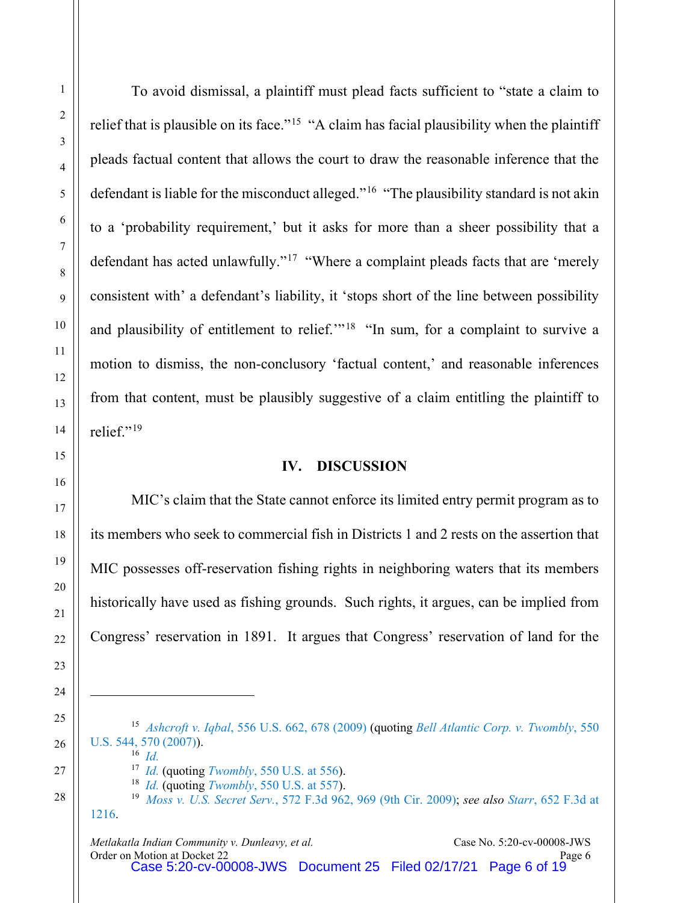To avoid dismissal, a plaintiff must plead facts sufficient to "state a claim to relief that is plausible on its face."<sup>[15](#page-5-0)</sup> "A claim has facial plausibility when the plaintiff pleads factual content that allows the court to draw the reasonable inference that the defendant is liable for the misconduct alleged."<sup>[16](#page-5-1)</sup> "The plausibility standard is not akin to a 'probability requirement,' but it asks for more than a sheer possibility that a defendant has acted unlawfully."<sup>[17](#page-5-2)</sup> "Where a complaint pleads facts that are 'merely consistent with' a defendant's liability, it 'stops short of the line between possibility and plausibility of entitlement to relief."<sup>[18](#page-5-3)</sup> "In sum, for a complaint to survive a motion to dismiss, the non-conclusory 'factual content,' and reasonable inferences from that content, must be plausibly suggestive of a claim entitling the plaintiff to relief."[19](#page-5-4)

## **IV. DISCUSSION**

MIC's claim that the State cannot enforce its limited entry permit program as to its members who seek to commercial fish in Districts 1 and 2 rests on the assertion that MIC possesses off-reservation fishing rights in neighboring waters that its members historically have used as fishing grounds. Such rights, it argues, can be implied from Congress' reservation in 1891. It argues that Congress' reservation of land for the

<span id="page-5-0"></span><sup>15</sup> *Ashcroft v. Iqbal*[, 556 U.S. 662, 678 \(2009\)](https://www.westlaw.com/Document/I90623386439011de8bf6cd8525c41437/View/FullText.html?transitionType=Default&contextData=(sc.Default)&VR=3.0&RS=da3.0&fragmentIdentifier=co_pp_sp_780_678) (quoting *[Bell Atlantic Corp. v. Twombly](https://www.westlaw.com/Document/Ib53eb62e07a011dcb035bac3a32ef289/View/FullText.html?transitionType=Default&contextData=(sc.Default)&VR=3.0&RS=da3.0&fragmentIdentifier=co_pp_sp_780_570)*, 550 [U.S. 544, 570 \(2007\)\)](https://www.westlaw.com/Document/Ib53eb62e07a011dcb035bac3a32ef289/View/FullText.html?transitionType=Default&contextData=(sc.Default)&VR=3.0&RS=da3.0&fragmentIdentifier=co_pp_sp_780_570).  $^{16}$  *[Id.](https://www.westlaw.com/Document/I90623386439011de8bf6cd8525c41437/View/FullText.html?transitionType=Default&contextData=(sc.Default)&VR=3.0&RS=da3.0&fragmentIdentifier=co_pp_sp_780_678)* 

<span id="page-5-4"></span><span id="page-5-3"></span><span id="page-5-2"></span><span id="page-5-1"></span>

<sup>17</sup> *[Id.](https://www.westlaw.com/Document/Ib53eb62e07a011dcb035bac3a32ef289/View/FullText.html?transitionType=Default&contextData=(sc.Default)&VR=3.0&RS=da3.0)* (quoting *Twombly*[, 550 U.S. at 556\)](https://www.westlaw.com/Document/Ib53eb62e07a011dcb035bac3a32ef289/View/FullText.html?transitionType=Default&contextData=(sc.Default)&VR=3.0&RS=da3.0&fragmentIdentifier=co_pp_sp_780_556). <sup>18</sup> *[Id.](https://www.westlaw.com/Document/Ib53eb62e07a011dcb035bac3a32ef289/View/FullText.html?transitionType=Default&contextData=(sc.Default)&VR=3.0&RS=da3.0)* (quoting *Twombly*[, 550 U.S. at 557\)](https://www.westlaw.com/Document/Ib53eb62e07a011dcb035bac3a32ef289/View/FullText.html?transitionType=Default&contextData=(sc.Default)&VR=3.0&RS=da3.0&fragmentIdentifier=co_pp_sp_780_557).

<sup>19</sup> *Moss v. U.S. Secret Serv.*[, 572 F.3d 962, 969 \(9th Cir. 2009\);](https://www.westlaw.com/Document/I790a72d3723311de8bf6cd8525c41437/View/FullText.html?transitionType=Default&contextData=(sc.Default)&VR=3.0&RS=da3.0&fragmentIdentifier=co_pp_sp_506_969) *see also Starr*[, 652 F.3d at](https://www.westlaw.com/Document/I3e2db26ab66111e0bff4854fb99771ed/View/FullText.html?transitionType=Default&contextData=(sc.Default)&VR=3.0&RS=da3.0&fragmentIdentifier=co_pp_sp_506_1216)  [1216.](https://www.westlaw.com/Document/I3e2db26ab66111e0bff4854fb99771ed/View/FullText.html?transitionType=Default&contextData=(sc.Default)&VR=3.0&RS=da3.0&fragmentIdentifier=co_pp_sp_506_1216)

*Metlakatla Indian Community v. Dunleavy, et al.* Case No. 5:20-cv-00008-JWS<br>Order on Motion at Docket 22 Order on Motion at Docket 22 Page 6 Case 5:20-cv-00008-JWS Document 25 Filed 02/17/21 Page 6 of 19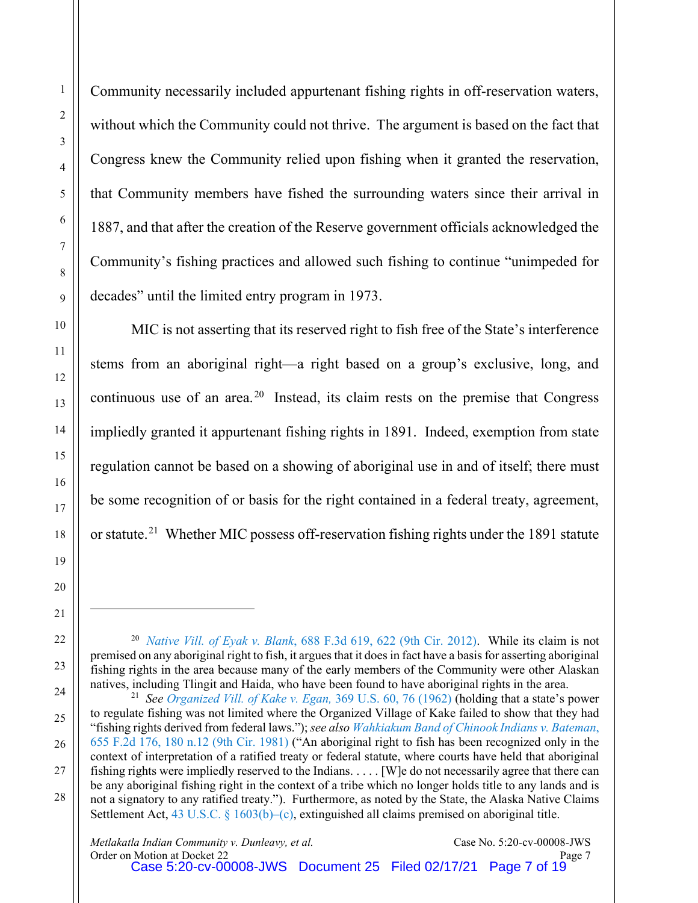Community necessarily included appurtenant fishing rights in off-reservation waters, without which the Community could not thrive. The argument is based on the fact that Congress knew the Community relied upon fishing when it granted the reservation, that Community members have fished the surrounding waters since their arrival in 1887, and that after the creation of the Reserve government officials acknowledged the Community's fishing practices and allowed such fishing to continue "unimpeded for decades" until the limited entry program in 1973.

MIC is not asserting that its reserved right to fish free of the State's interference stems from an aboriginal right—a right based on a group's exclusive, long, and continuous use of an area.<sup>[20](#page-6-0)</sup> Instead, its claim rests on the premise that Congress impliedly granted it appurtenant fishing rights in 1891. Indeed, exemption from state regulation cannot be based on a showing of aboriginal use in and of itself; there must be some recognition of or basis for the right contained in a federal treaty, agreement, or statute.<sup>[21](#page-6-1)</sup> Whether MIC possess off-reservation fishing rights under the 1891 statute

<span id="page-6-0"></span><sup>20</sup> *Native Vill. of Eyak v. Blank*[, 688 F.3d 619, 622 \(9th Cir. 2012\).](https://www.westlaw.com/Document/I48b8bcaddb3d11e191598982704508d1/View/FullText.html?transitionType=Default&contextData=(sc.Default)&VR=3.0&RS=da3.0&fragmentIdentifier=co_pp_sp_506_622) While its claim is not premised on any aboriginal right to fish, it argues that it does in fact have a basis for asserting aboriginal fishing rights in the area because many of the early members of the Community were other Alaskan natives, including Tlingit and Haida, who have been found to have aboriginal rights in the area.

<span id="page-6-1"></span><sup>21</sup> *See [Organized Vill. of Kake v. Egan,](https://www.westlaw.com/Link/Document/FullText?cite=369US60&VR=3.0&RS=da3.0)* 369 U.S. 60, 76 (1962) (holding that a state's power to regulate fishing was not limited where the Organized Village of Kake failed to show that they had "fishing rights derived from federal laws."); *see also [Wahkiakum Band of Chinook Indians v. Bateman](https://www.westlaw.com/Document/Ibcc6a497928911d993e6d35cc61aab4a/View/FullText.html?transitionType=Default&contextData=(sc.Default)&VR=3.0&RS=da3.0&fragmentIdentifier=co_pp_sp_350_180+n.12)*, [655 F.2d 176, 180 n.12 \(9th Cir. 1981\)](https://www.westlaw.com/Document/Ibcc6a497928911d993e6d35cc61aab4a/View/FullText.html?transitionType=Default&contextData=(sc.Default)&VR=3.0&RS=da3.0&fragmentIdentifier=co_pp_sp_350_180+n.12) ("An aboriginal right to fish has been recognized only in the context of interpretation of a ratified treaty or federal statute, where courts have held that aboriginal fishing rights were impliedly reserved to the Indians. . . . . [W]e do not necessarily agree that there can be any aboriginal fishing right in the context of a tribe which no longer holds title to any lands and is not a signatory to any ratified treaty."). Furthermore, as noted by the State, the Alaska Native Claims Settlement Act, [43 U.S.C. § 1603\(b\)–\(c\),](https://www.westlaw.com/Document/N65BFB000993411D8AB29E0A06D7C0EE0/View/FullText.html?transitionType=Default&contextData=(sc.Default)&VR=3.0&RS=da3.0) extinguished all claims premised on aboriginal title.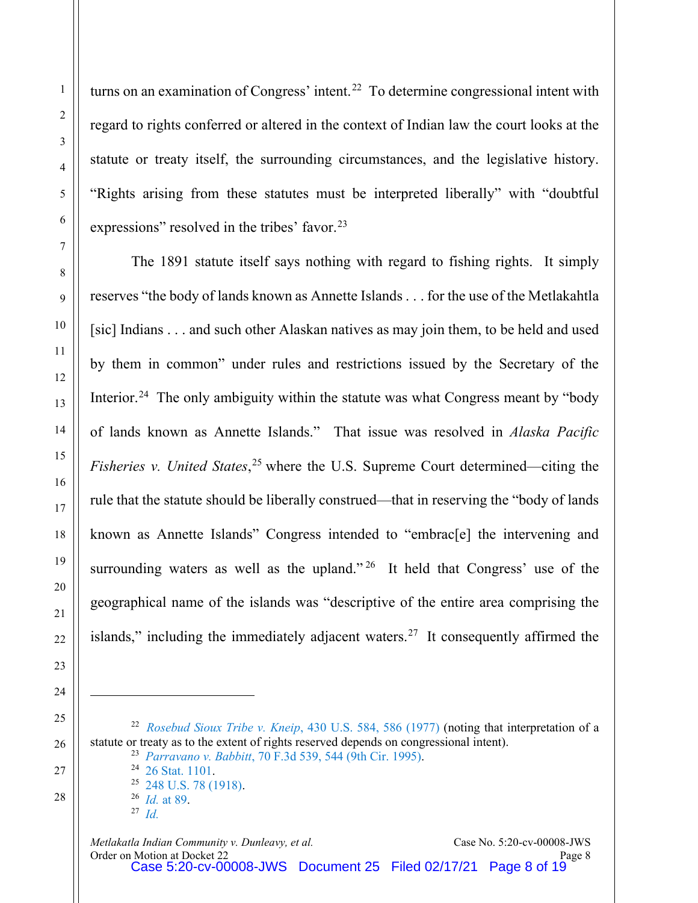turns on an examination of Congress' intent.<sup>22</sup> To determine congressional intent with regard to rights conferred or altered in the context of Indian law the court looks at the statute or treaty itself, the surrounding circumstances, and the legislative history. "Rights arising from these statutes must be interpreted liberally" with "doubtful expressions" resolved in the tribes' favor.<sup>23</sup>

The 1891 statute itself says nothing with regard to fishing rights. It simply reserves "the body of lands known as Annette Islands . . . for the use of the Metlakahtla [sic] Indians . . . and such other Alaskan natives as may join them, to be held and used by them in common" under rules and restrictions issued by the Secretary of the Interior.<sup>24</sup> The only ambiguity within the statute was what Congress meant by "body" of lands known as Annette Islands." That issue was resolved in *Alaska Pacific Fisheries v. United States*, [25](#page-7-3) where the U.S. Supreme Court determined—citing the rule that the statute should be liberally construed—that in reserving the "body of lands known as Annette Islands" Congress intended to "embrac[e] the intervening and surrounding waters as well as the upland." <sup>[26](#page-7-4)</sup> It held that Congress' use of the geographical name of the islands was "descriptive of the entire area comprising the islands," including the immediately adjacent waters.<sup>27</sup> It consequently affirmed the

<span id="page-7-5"></span><span id="page-7-4"></span><span id="page-7-3"></span><span id="page-7-2"></span><span id="page-7-1"></span><span id="page-7-0"></span>*[Rosebud Sioux Tribe v. Kneip](https://www.westlaw.com/Document/Ic1e1e8629c1e11d991d0cc6b54f12d4d/View/FullText.html?transitionType=Default&contextData=(sc.Default)&VR=3.0&RS=da3.0&fragmentIdentifier=co_pp_sp_780_586)*, 430 U.S. 584, 586 (1977) (noting that interpretation of a statute or treaty as to the extent of rights reserved depends on congressional intent). *Parravano v. Babbitt*[, 70 F.3d 539, 544 \(9th Cir. 1995\).](https://www.westlaw.com/Document/Iedf9d87991c111d9bc61beebb95be672/View/FullText.html?transitionType=Default&contextData=(sc.Default)&VR=3.0&RS=da3.0&fragmentIdentifier=co_pp_sp_506_544)

[26 Stat. 1101.](https://1.next.westlaw.com/Link/Document/Blob/Id9d5a141cb7811d8b07300065ba32aee.pdf?targetType=us-statlrg&originationContext=document&transitionType=DocumentImage&uniqueId=50f24da1-6396-45d7-a5d2-429e0bc05aba&contextData=(sc.UserEnteredCitation))

[248 U.S. 78 \(1918\).](https://www.westlaw.com/Document/If233ea149cc111d9bdd1cfdd544ca3a4/View/FullText.html?transitionType=Default&contextData=(sc.Default)&VR=3.0&RS=da3.0) 26 *Id.* at 89.

*[Id.](https://www.westlaw.com/Document/If233ea149cc111d9bdd1cfdd544ca3a4/View/FullText.html?transitionType=Default&contextData=(sc.Default)&VR=3.0&RS=da3.0&fragmentIdentifier=co_pp_sp_780_89)*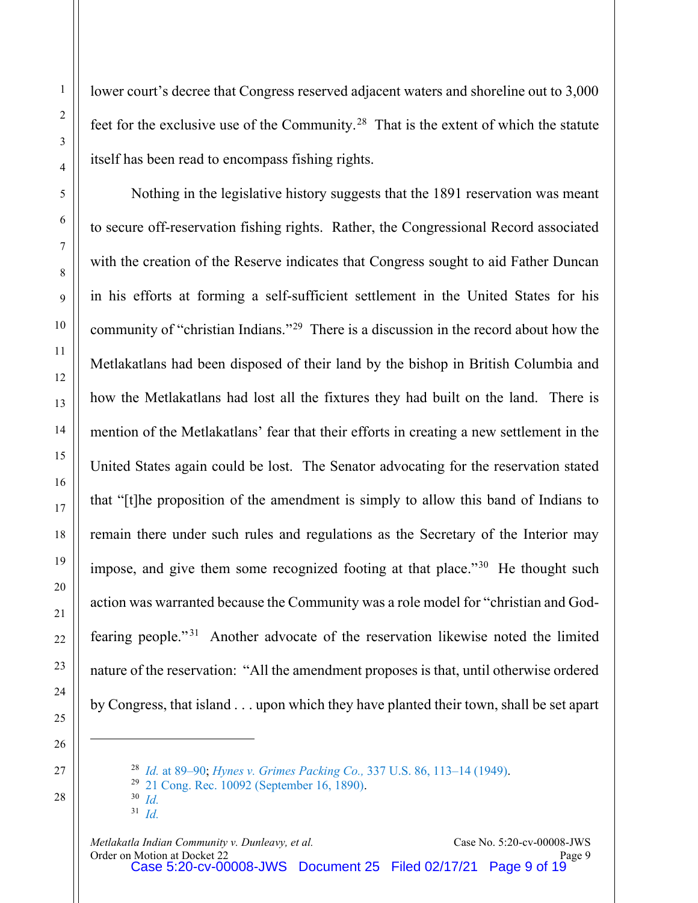lower court's decree that Congress reserved adjacent waters and shoreline out to 3,000 feet for the exclusive use of the Community.<sup>[28](#page-8-0)</sup> That is the extent of which the statute itself has been read to encompass fishing rights.

Nothing in the legislative history suggests that the 1891 reservation was meant to secure off-reservation fishing rights. Rather, the Congressional Record associated with the creation of the Reserve indicates that Congress sought to aid Father Duncan in his efforts at forming a self-sufficient settlement in the United States for his community of "christian Indians."[29](#page-8-1) There is a discussion in the record about how the Metlakatlans had been disposed of their land by the bishop in British Columbia and how the Metlakatlans had lost all the fixtures they had built on the land. There is mention of the Metlakatlans' fear that their efforts in creating a new settlement in the United States again could be lost. The Senator advocating for the reservation stated that "[t]he proposition of the amendment is simply to allow this band of Indians to remain there under such rules and regulations as the Secretary of the Interior may impose, and give them some recognized footing at that place."<sup>30</sup> He thought such action was warranted because the Community was a role model for "christian and God-fearing people."<sup>[31](#page-8-3)</sup> Another advocate of the reservation likewise noted the limited nature of the reservation: "All the amendment proposes is that, until otherwise ordered by Congress, that island . . . upon which they have planted their town, shall be set apart

- 30 *[Id.](https://heinonline.org/HOL/Page?handle=hein.congrec/cr0210010&id=848&collection=congrec)*
- 31 *[Id.](https://heinonline.org/HOL/Page?handle=hein.congrec/cr0210010&id=848&collection=congrec)*

<sup>28</sup> *Id.* [at 89–90;](https://www.westlaw.com/Document/If233ea149cc111d9bdd1cfdd544ca3a4/View/FullText.html?transitionType=Default&contextData=(sc.Default)&VR=3.0&RS=da3.0&fragmentIdentifier=co_pp_sp_780_89) *[Hynes v. Grimes Packing Co.,](https://www.westlaw.com/Document/I64fbd2b79c1d11d9bc61beebb95be672/View/FullText.html?transitionType=Default&contextData=(sc.Default)&VR=3.0&RS=da3.0&fragmentIdentifier=co_pp_sp_780_113)* 337 U.S. 86, 113–14 (1949).

<span id="page-8-3"></span><span id="page-8-2"></span><span id="page-8-1"></span><span id="page-8-0"></span><sup>29</sup> [21 Cong. Rec. 10092 \(September 16, 1890\).](https://heinonline.org/HOL/Page?handle=hein.congrec/cr0210010&id=848&collection=congrec)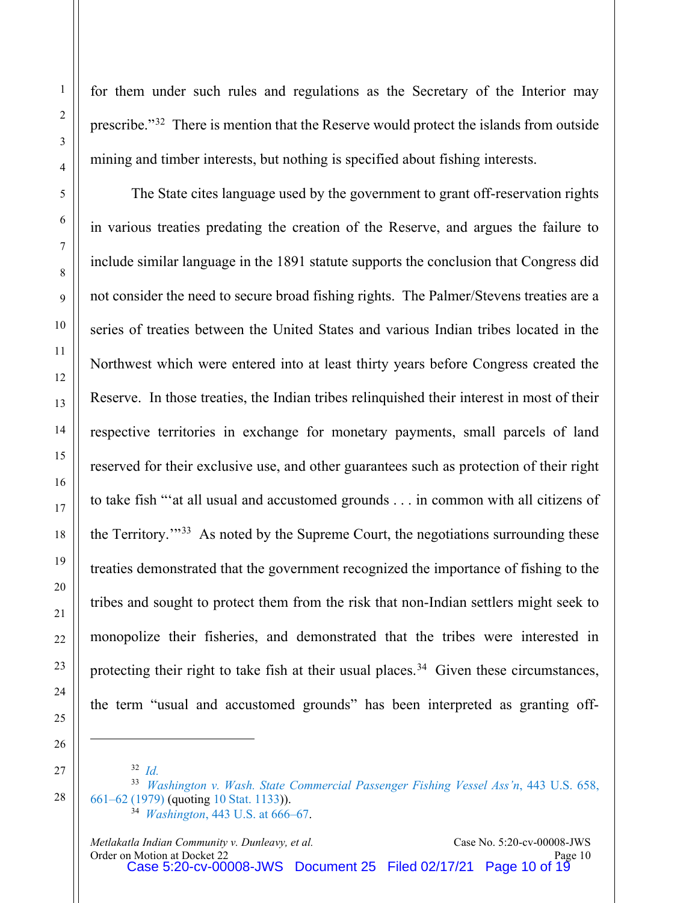for them under such rules and regulations as the Secretary of the Interior may prescribe."[32](#page-9-0) There is mention that the Reserve would protect the islands from outside mining and timber interests, but nothing is specified about fishing interests.

The State cites language used by the government to grant off-reservation rights in various treaties predating the creation of the Reserve, and argues the failure to include similar language in the 1891 statute supports the conclusion that Congress did not consider the need to secure broad fishing rights. The Palmer/Stevens treaties are a series of treaties between the United States and various Indian tribes located in the Northwest which were entered into at least thirty years before Congress created the Reserve. In those treaties, the Indian tribes relinquished their interest in most of their respective territories in exchange for monetary payments, small parcels of land reserved for their exclusive use, and other guarantees such as protection of their right to take fish "'at all usual and accustomed grounds . . . in common with all citizens of the Territory.'"[33](#page-9-1) As noted by the Supreme Court, the negotiations surrounding these treaties demonstrated that the government recognized the importance of fishing to the tribes and sought to protect them from the risk that non-Indian settlers might seek to monopolize their fisheries, and demonstrated that the tribes were interested in protecting their right to take fish at their usual places.<sup>34</sup> Given these circumstances, the term "usual and accustomed grounds" has been interpreted as granting off-

<sup>32</sup> *[Id.](https://heinonline.org/HOL/Page?handle=hein.congrec/cr0210010&id=848&collection=congrec)*

<span id="page-9-2"></span><span id="page-9-1"></span><span id="page-9-0"></span><sup>33</sup> *[Washington v. Wash. State Commercial Passenger Fishing Vessel Ass'n](https://www.westlaw.com/Document/I1797bdc39c1f11d993e6d35cc61aab4a/View/FullText.html?transitionType=Default&contextData=(sc.Default)&VR=3.0&RS=da3.0&fragmentIdentifier=co_pp_sp_780_661)*, 443 U.S. 658, [661–62 \(1979\)](https://www.westlaw.com/Document/I1797bdc39c1f11d993e6d35cc61aab4a/View/FullText.html?transitionType=Default&contextData=(sc.Default)&VR=3.0&RS=da3.0&fragmentIdentifier=co_pp_sp_780_661) (quoting [10 Stat. 1133\)](https://heinonline.org/HOL/Page?handle=hein.statute/sal010&id=1177&collection=ssl)). 34 *Washington*[, 443 U.S. at 666–67.](https://www.westlaw.com/Document/I1797bdc39c1f11d993e6d35cc61aab4a/View/FullText.html?transitionType=Default&contextData=(sc.Default)&VR=3.0&RS=da3.0&fragmentIdentifier=co_pp_sp_780_666)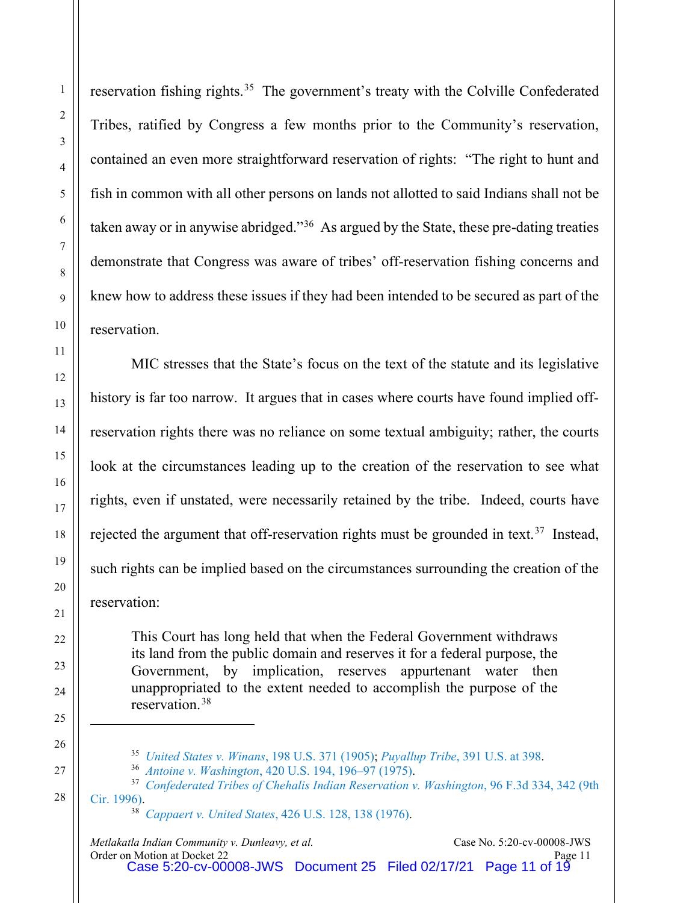reservation fishing rights.<sup>35</sup> The government's treaty with the Colville Confederated Tribes, ratified by Congress a few months prior to the Community's reservation, contained an even more straightforward reservation of rights: "The right to hunt and fish in common with all other persons on lands not allotted to said Indians shall not be taken away or in anywise abridged."<sup>[36](#page-10-1)</sup> As argued by the State, these pre-dating treaties demonstrate that Congress was aware of tribes' off-reservation fishing concerns and knew how to address these issues if they had been intended to be secured as part of the reservation.

MIC stresses that the State's focus on the text of the statute and its legislative history is far too narrow. It argues that in cases where courts have found implied offreservation rights there was no reliance on some textual ambiguity; rather, the courts look at the circumstances leading up to the creation of the reservation to see what rights, even if unstated, were necessarily retained by the tribe. Indeed, courts have rejected the argument that off-reservation rights must be grounded in text.<sup>37</sup> Instead, such rights can be implied based on the circumstances surrounding the creation of the reservation:

This Court has long held that when the Federal Government withdraws its land from the public domain and reserves it for a federal purpose, the Government, by implication, reserves appurtenant water then unappropriated to the extent needed to accomplish the purpose of the reservation.[38](#page-10-3)

<sup>35</sup> *[United States v. Winans](https://www.westlaw.com/Document/I074c5cd99cbc11d9bc61beebb95be672/View/FullText.html?transitionType=Default&contextData=(sc.Default)&VR=3.0&RS=da3.0)*, 198 U.S. 371 (1905); *Puyallup Tribe*[, 391 U.S. at 398.](https://www.westlaw.com/Document/I650102d39c1d11d9bc61beebb95be672/View/FullText.html?transitionType=Default&contextData=(sc.Default)&VR=3.0&RS=da3.0&fragmentIdentifier=co_pp_sp_780_398)

<sup>36</sup> *Antoine v. Washington*[, 420 U.S. 194, 196–97 \(1975\).](https://www.westlaw.com/Document/I220cc9a99bf011d993e6d35cc61aab4a/View/FullText.html?transitionType=Default&contextData=(sc.Default)&VR=3.0&RS=da3.0&fragmentIdentifier=co_pp_sp_780_196)

<span id="page-10-3"></span><span id="page-10-2"></span><span id="page-10-1"></span><span id="page-10-0"></span><sup>37</sup> *[Confederated Tribes of Chehalis Indian Reservation v. Washington](https://www.westlaw.com/Document/I251198f9934f11d993e6d35cc61aab4a/View/FullText.html?transitionType=Default&contextData=(sc.Default)&VR=3.0&RS=da3.0&fragmentIdentifier=co_pp_sp_506_342)*, 96 F.3d 334, 342 (9th [Cir. 1996\).](https://www.westlaw.com/Document/I251198f9934f11d993e6d35cc61aab4a/View/FullText.html?transitionType=Default&contextData=(sc.Default)&VR=3.0&RS=da3.0&fragmentIdentifier=co_pp_sp_506_342)

<sup>38</sup> *Cappaert v. United States*[, 426 U.S. 128, 138 \(1976\).](https://www.westlaw.com/Document/Ic1e67c5d9c1e11d991d0cc6b54f12d4d/View/FullText.html?transitionType=Default&contextData=(sc.Default)&VR=3.0&RS=da3.0&fragmentIdentifier=co_pp_sp_780_138)

*Metlakatla Indian Community v. Dunleavy, et al.* Case No. 5:20-cv-00008-JWS<br>Order on Motion at Docket 22 Page 11 Order on Motion at Docket 22 **Page 11** Case 5:20-cv-00008-JWS Document 25 Filed 02/17/21 Page 11 of 19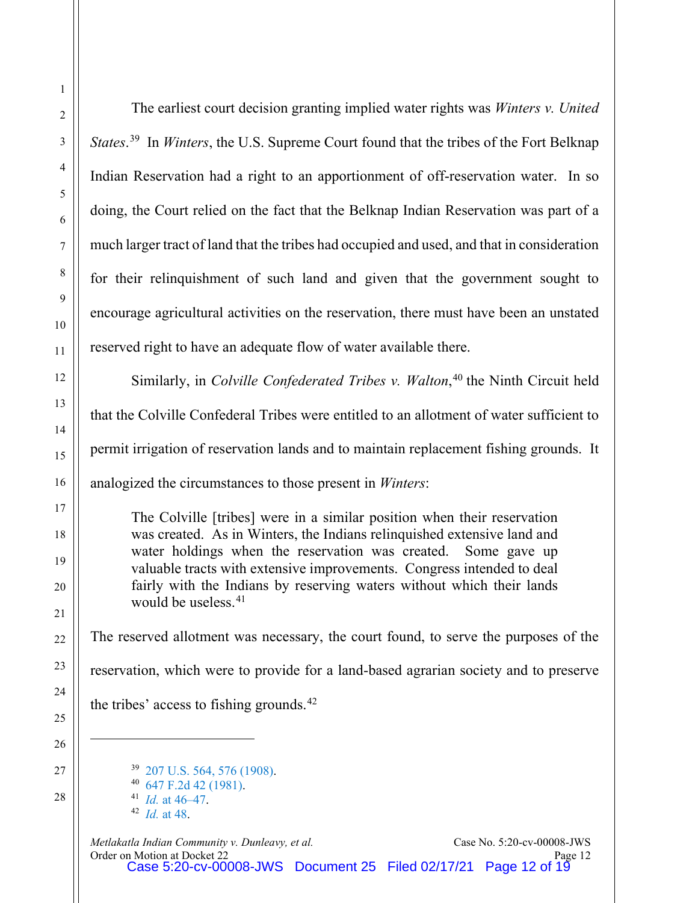The earliest court decision granting implied water rights was *Winters v. United States*. [39](#page-11-0) In *Winters*, the U.S. Supreme Court found that the tribes of the Fort Belknap Indian Reservation had a right to an apportionment of off-reservation water. In so doing, the Court relied on the fact that the Belknap Indian Reservation was part of a much larger tract of land that the tribes had occupied and used, and that in consideration for their relinquishment of such land and given that the government sought to encourage agricultural activities on the reservation, there must have been an unstated reserved right to have an adequate flow of water available there.

Similarly, in *Colville Confederated Tribes v. Walton*, [40](#page-11-1) the Ninth Circuit held that the Colville Confederal Tribes were entitled to an allotment of water sufficient to permit irrigation of reservation lands and to maintain replacement fishing grounds. It analogized the circumstances to those present in *Winters*:

The Colville [tribes] were in a similar position when their reservation was created. As in Winters, the Indians relinquished extensive land and water holdings when the reservation was created. Some gave up valuable tracts with extensive improvements. Congress intended to deal fairly with the Indians by reserving waters without which their lands would be useless.<sup>[41](#page-11-2)</sup>

The reserved allotment was necessary, the court found, to serve the purposes of the reservation, which were to provide for a land-based agrarian society and to preserve the tribes' access to fishing grounds. $42$ 

[207 U.S. 564, 576 \(1908\).](https://www.westlaw.com/Document/Ib918b5279cb811d9bc61beebb95be672/View/FullText.html?transitionType=Default&contextData=(sc.Default)&VR=3.0&RS=da3.0&fragmentIdentifier=co_pp_sp_780_576) [647 F.2d 42 \(1981\).](https://www.westlaw.com/Document/Id8f13ec3927811d9bc61beebb95be672/View/FullText.html?transitionType=Default&contextData=(sc.Default)&VR=3.0&RS=da3.0) *Id.* [at 46–47.](https://www.westlaw.com/Document/Id8f13ec3927811d9bc61beebb95be672/View/FullText.html?transitionType=Default&contextData=(sc.Default)&VR=3.0&RS=da3.0&fragmentIdentifier=co_pp_sp_350_46) *Id.* [at 48.](https://www.westlaw.com/Document/Id8f13ec3927811d9bc61beebb95be672/View/FullText.html?transitionType=Default&contextData=(sc.Default)&VR=3.0&RS=da3.0&fragmentIdentifier=co_pp_sp_350_48)

<span id="page-11-3"></span><span id="page-11-2"></span><span id="page-11-1"></span><span id="page-11-0"></span>*Metlakatla Indian Community v. Dunleavy, et al.* Case No. 5:20-cv-00008-JWS<br>21 Page 12 Order on Motion at Docket 22 Page 12 Case 5:20-cv-00008-JWS Document 25 Filed 02/17/21 Page 12 of 19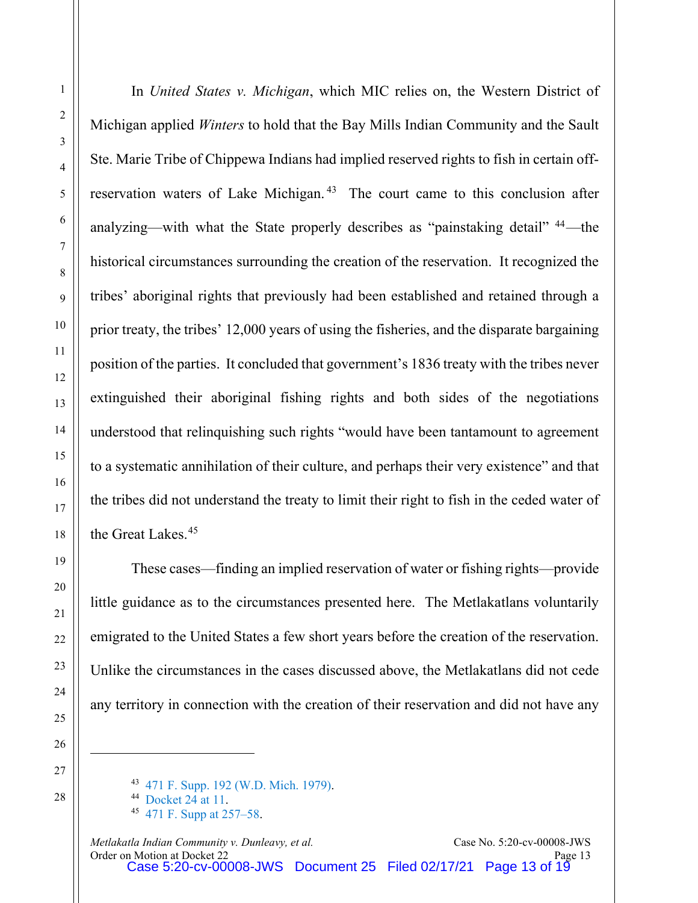In *United States v. Michigan*, which MIC relies on, the Western District of Michigan applied *Winters* to hold that the Bay Mills Indian Community and the Sault Ste. Marie Tribe of Chippewa Indians had implied reserved rights to fish in certain offreservation waters of Lake Michigan. [43](#page-12-0) The court came to this conclusion after analyzing—with what the State properly describes as "painstaking detail" [44](#page-12-1)—the historical circumstances surrounding the creation of the reservation. It recognized the tribes' aboriginal rights that previously had been established and retained through a prior treaty, the tribes' 12,000 years of using the fisheries, and the disparate bargaining position of the parties. It concluded that government's 1836 treaty with the tribes never extinguished their aboriginal fishing rights and both sides of the negotiations understood that relinquishing such rights "would have been tantamount to agreement to a systematic annihilation of their culture, and perhaps their very existence" and that the tribes did not understand the treaty to limit their right to fish in the ceded water of the Great Lakes.[45](#page-12-2)

These cases—finding an implied reservation of water or fishing rights—provide little guidance as to the circumstances presented here. The Metlakatlans voluntarily emigrated to the United States a few short years before the creation of the reservation. Unlike the circumstances in the cases discussed above, the Metlakatlans did not cede any territory in connection with the creation of their reservation and did not have any

<span id="page-12-1"></span><span id="page-12-0"></span><sup>43</sup> [471 F. Supp. 192 \(W.D. Mich. 1979\).](https://www.westlaw.com/Document/Ib4b8e813552811d997e0acd5cbb90d3f/View/FullText.html?transitionType=Default&contextData=(sc.Default)&VR=3.0&RS=da3.0)

<span id="page-12-2"></span><sup>44</sup> [Docket 24 at 11.](https://ecf.akd.circ9.dcn/doc1/02312340676?page=11) 45 [471 F. Supp at 257–58.](https://www.westlaw.com/Document/Ib4b8e813552811d997e0acd5cbb90d3f/View/FullText.html?transitionType=Default&contextData=(sc.Default)&VR=3.0&RS=da3.0&fragmentIdentifier=co_pp_sp_345_257)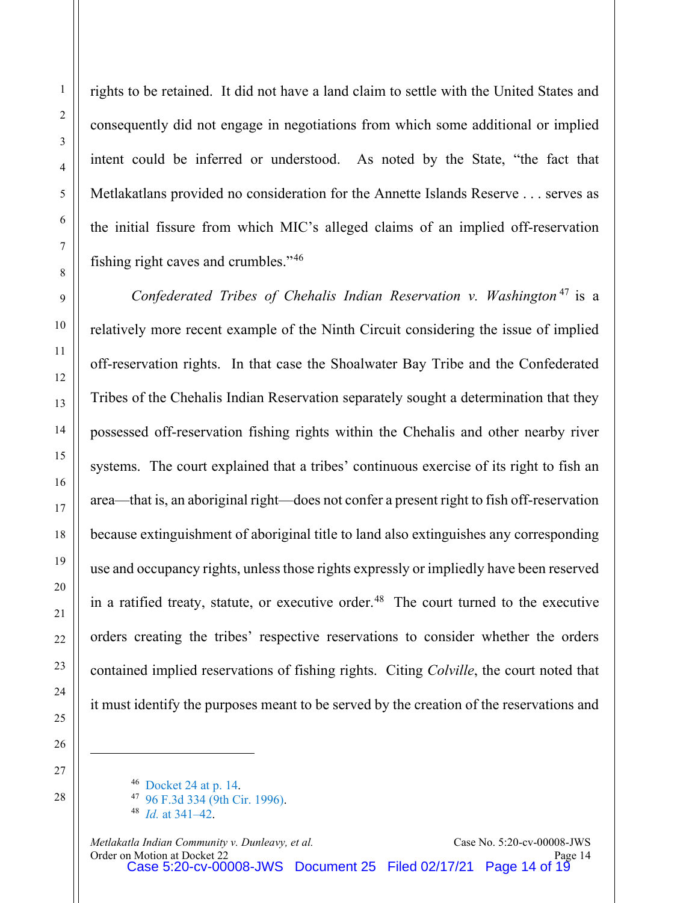rights to be retained. It did not have a land claim to settle with the United States and consequently did not engage in negotiations from which some additional or implied intent could be inferred or understood. As noted by the State, "the fact that Metlakatlans provided no consideration for the Annette Islands Reserve . . . serves as the initial fissure from which MIC's alleged claims of an implied off-reservation fishing right caves and crumbles."[46](#page-13-0)

*Confederated Tribes of Chehalis Indian Reservation v. Washington* [47](#page-13-1) is a relatively more recent example of the Ninth Circuit considering the issue of implied off-reservation rights. In that case the Shoalwater Bay Tribe and the Confederated Tribes of the Chehalis Indian Reservation separately sought a determination that they possessed off-reservation fishing rights within the Chehalis and other nearby river systems. The court explained that a tribes' continuous exercise of its right to fish an area—that is, an aboriginal right—does not confer a present right to fish off-reservation because extinguishment of aboriginal title to land also extinguishes any corresponding use and occupancy rights, unless those rights expressly or impliedly have been reserved in a ratified treaty, statute, or executive order.<sup>[48](#page-13-2)</sup> The court turned to the executive orders creating the tribes' respective reservations to consider whether the orders contained implied reservations of fishing rights. Citing *Colville*, the court noted that it must identify the purposes meant to be served by the creation of the reservations and

<span id="page-13-2"></span><span id="page-13-1"></span><span id="page-13-0"></span>

*Metlakatla Indian Community v. Dunleavy, et al.* Case No. 5:20-cv-00008-JWS Order on Motion at Docket 22 Page 14 Case 5:20-cv-00008-JWS Document 25 Filed 02/17/21 Page 14 of 19

<sup>46</sup> [Docket 24 at p. 14.](https://ecf.akd.circ9.dcn/doc1/02312340676?page=14) 47 [96 F.3d 334 \(9th Cir. 1996\).](https://www.westlaw.com/Document/I251198f9934f11d993e6d35cc61aab4a/View/FullText.html?transitionType=Default&contextData=(sc.Default)&VR=3.0&RS=da3.0)

<sup>48</sup> *Id.* [at 341–42.](https://www.westlaw.com/Document/I251198f9934f11d993e6d35cc61aab4a/View/FullText.html?transitionType=Default&contextData=(sc.Default)&VR=3.0&RS=da3.0&fragmentIdentifier=co_pp_sp_506_341)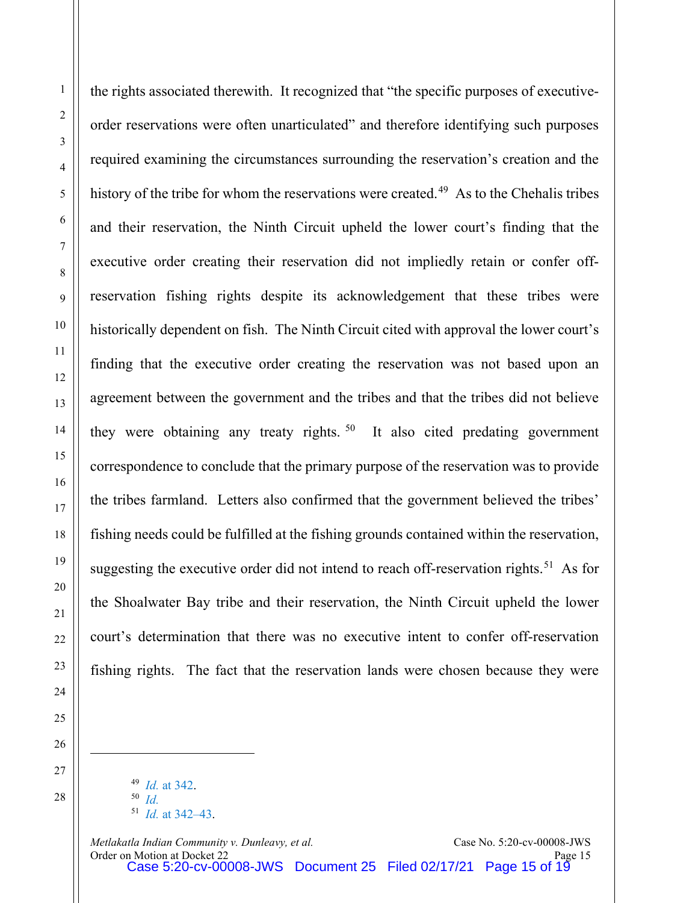the rights associated therewith. It recognized that "the specific purposes of executiveorder reservations were often unarticulated" and therefore identifying such purposes required examining the circumstances surrounding the reservation's creation and the history of the tribe for whom the reservations were created.<sup>[49](#page-14-0)</sup> As to the Chehalis tribes and their reservation, the Ninth Circuit upheld the lower court's finding that the executive order creating their reservation did not impliedly retain or confer offreservation fishing rights despite its acknowledgement that these tribes were historically dependent on fish. The Ninth Circuit cited with approval the lower court's finding that the executive order creating the reservation was not based upon an agreement between the government and the tribes and that the tribes did not believe they were obtaining any treaty rights.<sup>[50](#page-14-1)</sup> It also cited predating government correspondence to conclude that the primary purpose of the reservation was to provide the tribes farmland. Letters also confirmed that the government believed the tribes' fishing needs could be fulfilled at the fishing grounds contained within the reservation, suggesting the executive order did not intend to reach off-reservation rights.<sup>51</sup> As for the Shoalwater Bay tribe and their reservation, the Ninth Circuit upheld the lower court's determination that there was no executive intent to confer off-reservation fishing rights. The fact that the reservation lands were chosen because they were

49 *Id.* [at 342.](https://www.westlaw.com/Document/I251198f9934f11d993e6d35cc61aab4a/View/FullText.html?transitionType=Default&contextData=(sc.Default)&VR=3.0&RS=da3.0&fragmentIdentifier=co_pp_sp_506_342) 50 *[Id.](https://www.westlaw.com/Document/I251198f9934f11d993e6d35cc61aab4a/View/FullText.html?transitionType=Default&contextData=(sc.Default)&VR=3.0&RS=da3.0&fragmentIdentifier=co_pp_sp_506_342)* 51 *Id.* [at 342–43.](https://www.westlaw.com/Document/I251198f9934f11d993e6d35cc61aab4a/View/FullText.html?transitionType=Default&contextData=(sc.Default)&VR=3.0&RS=da3.0&fragmentIdentifier=co_pp_sp_506_342)

<span id="page-14-2"></span><span id="page-14-1"></span><span id="page-14-0"></span>*Metlakatla Indian Community v. Dunleavy, et al.* Case No. 5:20-cv-00008-JWS Order on Motion at Docket 22 Page 15 Case 5:20-cv-00008-JWS Document 25 Filed 02/17/21 Page 15 of 19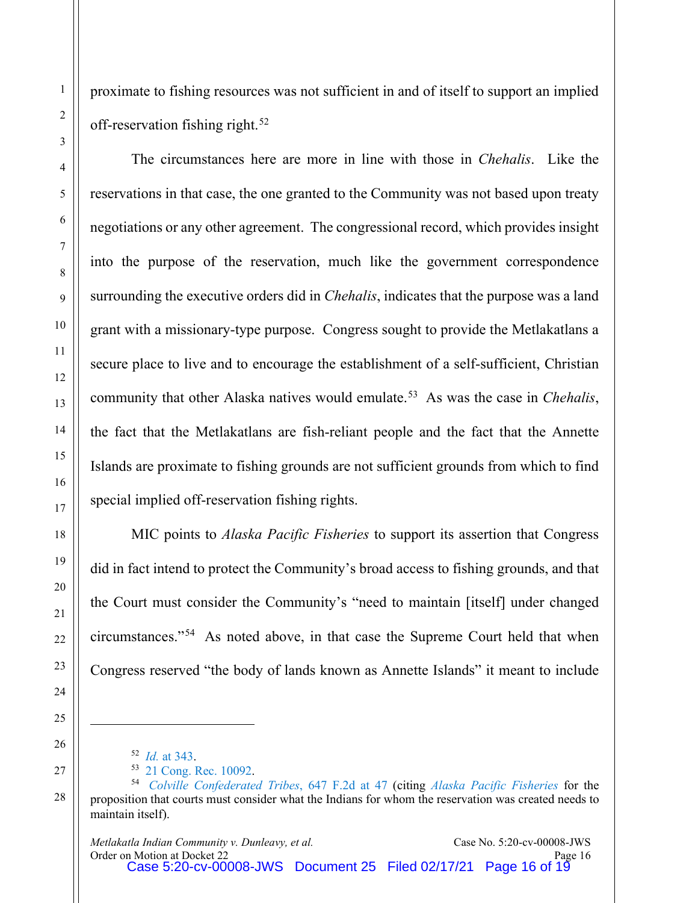proximate to fishing resources was not sufficient in and of itself to support an implied off-reservation fishing right.<sup>[52](#page-15-0)</sup>

The circumstances here are more in line with those in *Chehalis*. Like the reservations in that case, the one granted to the Community was not based upon treaty negotiations or any other agreement. The congressional record, which provides insight into the purpose of the reservation, much like the government correspondence surrounding the executive orders did in *Chehalis*, indicates that the purpose was a land grant with a missionary-type purpose. Congress sought to provide the Metlakatlans a secure place to live and to encourage the establishment of a self-sufficient, Christian community that other Alaska natives would emulate.[53](#page-15-1) As was the case in *Chehalis*, the fact that the Metlakatlans are fish-reliant people and the fact that the Annette Islands are proximate to fishing grounds are not sufficient grounds from which to find special implied off-reservation fishing rights.

MIC points to *Alaska Pacific Fisheries* to support its assertion that Congress did in fact intend to protect the Community's broad access to fishing grounds, and that the Court must consider the Community's "need to maintain [itself] under changed circumstances."[54](#page-15-2) As noted above, in that case the Supreme Court held that when Congress reserved "the body of lands known as Annette Islands" it meant to include

<sup>52</sup> *Id.* [at 343.](https://www.westlaw.com/Document/I251198f9934f11d993e6d35cc61aab4a/View/FullText.html?transitionType=Default&contextData=(sc.Default)&VR=3.0&RS=da3.0&fragmentIdentifier=co_pp_sp_506_343)

<sup>53</sup> [21 Cong. Rec. 10092.](https://heinonline.org/HOL/Page?handle=hein.congrec/cr0210010&id=848&collection=congrec)

<span id="page-15-2"></span><span id="page-15-1"></span><span id="page-15-0"></span><sup>54</sup> *[Colville Confederated Tribes](https://www.westlaw.com/Document/Id8f13ec3927811d9bc61beebb95be672/View/FullText.html?transitionType=Default&contextData=(sc.Default)&VR=3.0&RS=da3.0&fragmentIdentifier=co_pp_sp_350_47)*, 647 F.2d at 47 (citing *[Alaska Pacific Fisheries](https://www.westlaw.com/Document/If233ea149cc111d9bdd1cfdd544ca3a4/View/FullText.html?transitionType=Default&contextData=(sc.Default)&VR=3.0&RS=da3.0&fragmentIdentifier=co_pp_sp_780_89)* for the proposition that courts must consider what the Indians for whom the reservation was created needs to maintain itself).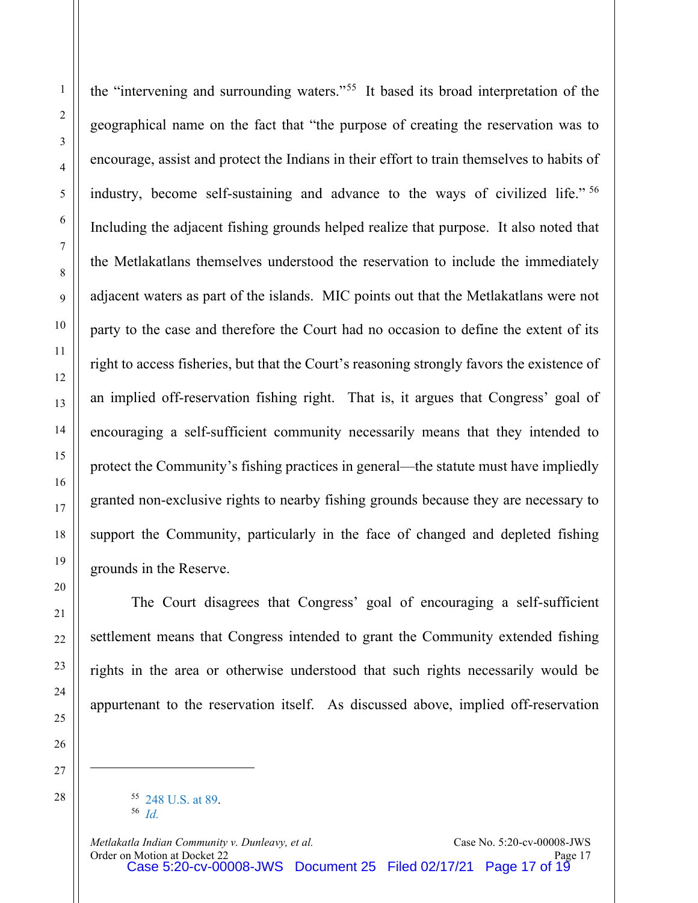the "intervening and surrounding waters."[55](#page-16-0) It based its broad interpretation of the geographical name on the fact that "the purpose of creating the reservation was to encourage, assist and protect the Indians in their effort to train themselves to habits of industry, become self-sustaining and advance to the ways of civilized life." [56](#page-16-1)  Including the adjacent fishing grounds helped realize that purpose. It also noted that the Metlakatlans themselves understood the reservation to include the immediately adjacent waters as part of the islands. MIC points out that the Metlakatlans were not party to the case and therefore the Court had no occasion to define the extent of its right to access fisheries, but that the Court's reasoning strongly favors the existence of an implied off-reservation fishing right. That is, it argues that Congress' goal of encouraging a self-sufficient community necessarily means that they intended to protect the Community's fishing practices in general—the statute must have impliedly granted non-exclusive rights to nearby fishing grounds because they are necessary to support the Community, particularly in the face of changed and depleted fishing grounds in the Reserve.

The Court disagrees that Congress' goal of encouraging a self-sufficient settlement means that Congress intended to grant the Community extended fishing rights in the area or otherwise understood that such rights necessarily would be appurtenant to the reservation itself. As discussed above, implied off-reservation

<span id="page-16-1"></span><span id="page-16-0"></span>

<sup>55</sup> [248 U.S. at 89.](https://www.westlaw.com/Document/If233ea149cc111d9bdd1cfdd544ca3a4/View/FullText.html?transitionType=Default&contextData=(sc.Default)&VR=3.0&RS=da3.0&fragmentIdentifier=co_pp_sp_780_89) 56 *[Id.](https://www.westlaw.com/Document/If233ea149cc111d9bdd1cfdd544ca3a4/View/FullText.html?transitionType=Default&contextData=(sc.Default)&VR=3.0&RS=da3.0&fragmentIdentifier=co_pp_sp_780_89)*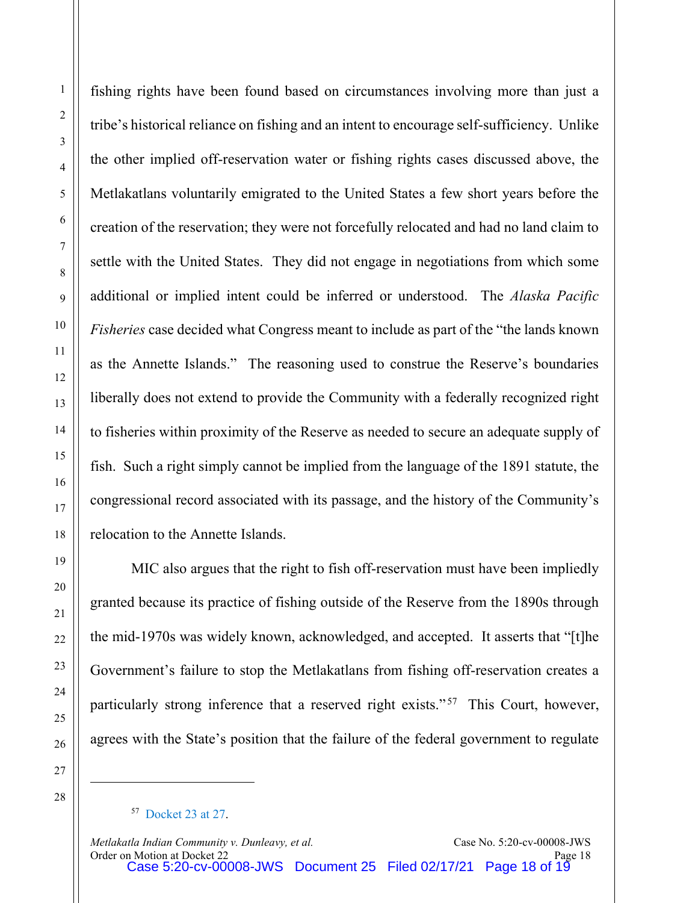fishing rights have been found based on circumstances involving more than just a tribe's historical reliance on fishing and an intent to encourage self-sufficiency. Unlike the other implied off-reservation water or fishing rights cases discussed above, the Metlakatlans voluntarily emigrated to the United States a few short years before the creation of the reservation; they were not forcefully relocated and had no land claim to settle with the United States. They did not engage in negotiations from which some additional or implied intent could be inferred or understood. The *Alaska Pacific Fisheries* case decided what Congress meant to include as part of the "the lands known as the Annette Islands." The reasoning used to construe the Reserve's boundaries liberally does not extend to provide the Community with a federally recognized right to fisheries within proximity of the Reserve as needed to secure an adequate supply of fish. Such a right simply cannot be implied from the language of the 1891 statute, the congressional record associated with its passage, and the history of the Community's relocation to the Annette Islands.

MIC also argues that the right to fish off-reservation must have been impliedly granted because its practice of fishing outside of the Reserve from the 1890s through the mid-1970s was widely known, acknowledged, and accepted. It asserts that "[t]he Government's failure to stop the Metlakatlans from fishing off-reservation creates a particularly strong inference that a reserved right exists."<sup>[57](#page-17-0)</sup> This Court, however, agrees with the State's position that the failure of the federal government to regulate

<span id="page-17-0"></span>

<sup>57</sup> [Docket 23 at 27.](https://ecf.akd.circ9.dcn/doc1/02312334948?page=27)